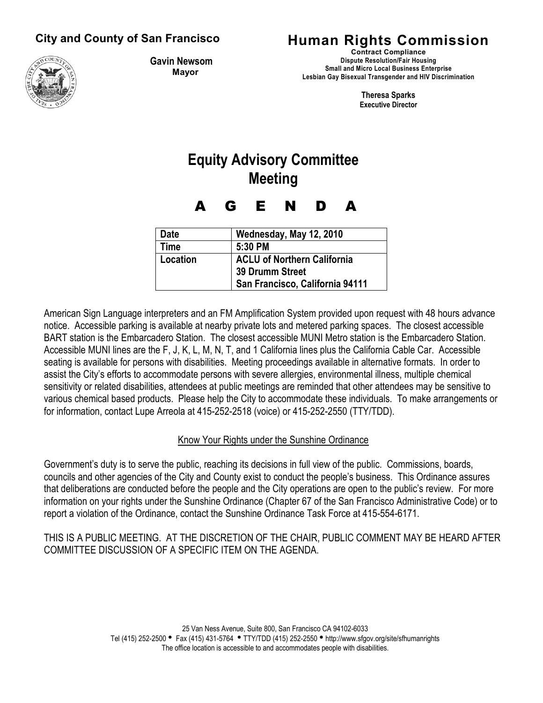

**Gavin Newsom Mayor**

## **City and County of San Francisco Human Rights Commission**

**Contract Compliance Dispute Resolution/Fair Housing Small and Micro Local Business Enterprise Lesbian Gay Bisexual Transgender and HIV Discrimination** 

> **Theresa Sparks Executive Director**

# **Equity Advisory Committee Meeting**

A G E N D A

| <b>Date</b> | Wednesday, May 12, 2010            |
|-------------|------------------------------------|
| <b>Time</b> | 5:30 PM                            |
| Location    | <b>ACLU of Northern California</b> |
|             | 39 Drumm Street                    |
|             | San Francisco, California 94111    |

American Sign Language interpreters and an FM Amplification System provided upon request with 48 hours advance notice. Accessible parking is available at nearby private lots and metered parking spaces. The closest accessible BART station is the Embarcadero Station. The closest accessible MUNI Metro station is the Embarcadero Station. Accessible MUNI lines are the F, J, K, L, M, N, T, and 1 California lines plus the California Cable Car. Accessible seating is available for persons with disabilities. Meeting proceedings available in alternative formats. In order to assist the City's efforts to accommodate persons with severe allergies, environmental illness, multiple chemical sensitivity or related disabilities, attendees at public meetings are reminded that other attendees may be sensitive to various chemical based products. Please help the City to accommodate these individuals. To make arrangements or for information, contact Lupe Arreola at 415-252-2518 (voice) or 415-252-2550 (TTY/TDD).

### Know Your Rights under the Sunshine Ordinance

Government's duty is to serve the public, reaching its decisions in full view of the public. Commissions, boards, councils and other agencies of the City and County exist to conduct the people's business. This Ordinance assures that deliberations are conducted before the people and the City operations are open to the public's review. For more information on your rights under the Sunshine Ordinance (Chapter 67 of the San Francisco Administrative Code) or to report a violation of the Ordinance, contact the Sunshine Ordinance Task Force at 415-554-6171.

THIS IS A PUBLIC MEETING. AT THE DISCRETION OF THE CHAIR, PUBLIC COMMENT MAY BE HEARD AFTER COMMITTEE DISCUSSION OF A SPECIFIC ITEM ON THE AGENDA.